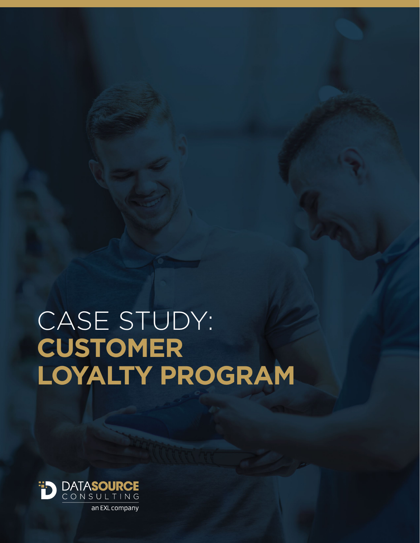# CASE STUDY: **CUSTOMER LOYALTY PROGRAM**

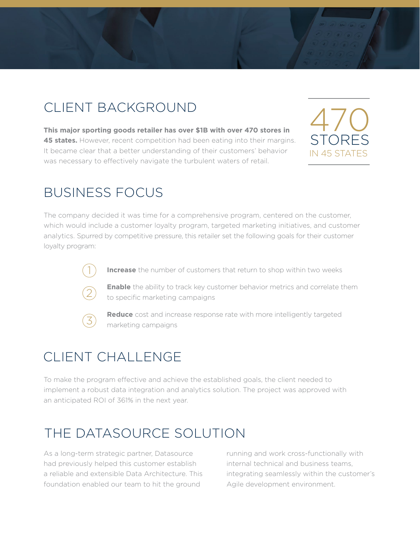#### CLIENT BACKGROUND

**This major sporting goods retailer has over \$1B with over 470 stores in 45 states.** However, recent competition had been eating into their margins. It became clear that a better understanding of their customers' behavior was necessary to effectively navigate the turbulent waters of retail.



#### BUSINESS FOCUS

The company decided it was time for a comprehensive program, centered on the customer, which would include a customer loyalty program, targeted marketing initiatives, and customer analytics. Spurred by competitive pressure, this retailer set the following goals for their customer loyalty program:



**Increase** the number of customers that return to shop within two weeks



**Enable** the ability to track key customer behavior metrics and correlate them to specific marketing campaigns



**Reduce** cost and increase response rate with more intelligently targeted marketing campaigns

## CLIENT CHALLENGE

To make the program effective and achieve the established goals, the client needed to implement a robust data integration and analytics solution. The project was approved with an anticipated ROI of 361% in the next year.

## THE DATASOURCE SOLUTION

As a long-term strategic partner, Datasource had previously helped this customer establish a reliable and extensible Data Architecture. This foundation enabled our team to hit the ground

running and work cross-functionally with internal technical and business teams, integrating seamlessly within the customer's Agile development environment.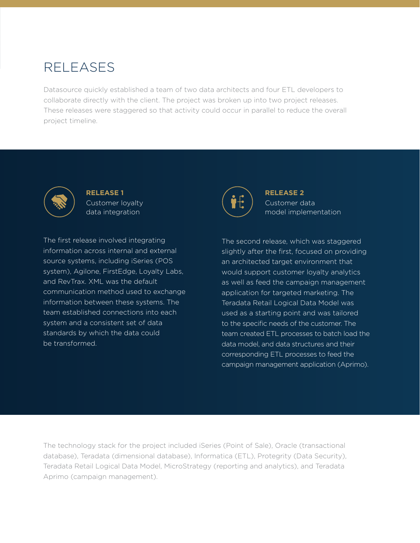#### RELEASES

Datasource quickly established a team of two data architects and four ETL developers to collaborate directly with the client. The project was broken up into two project releases. These releases were staggered so that activity could occur in parallel to reduce the overall project timeline.



**RELEASE 1**  Customer loyalty data integration

The first release involved integrating information across internal and external source systems, including iSeries (POS system), Agilone, FirstEdge, Loyalty Labs, and RevTrax. XML was the default communication method used to exchange information between these systems. The team established connections into each system and a consistent set of data standards by which the data could be transformed.



**RELEASE 2**  Customer data model implementation

The second release, which was staggered slightly after the first, focused on providing an architected target environment that would support customer loyalty analytics as well as feed the campaign management application for targeted marketing. The Teradata Retail Logical Data Model was used as a starting point and was tailored to the specific needs of the customer. The team created ETL processes to batch load the data model, and data structures and their corresponding ETL processes to feed the campaign management application (Aprimo).

The technology stack for the project included iSeries (Point of Sale), Oracle (transactional database), Teradata (dimensional database), Informatica (ETL), Protegrity (Data Security), Teradata Retail Logical Data Model, MicroStrategy (reporting and analytics), and Teradata Aprimo (campaign management).